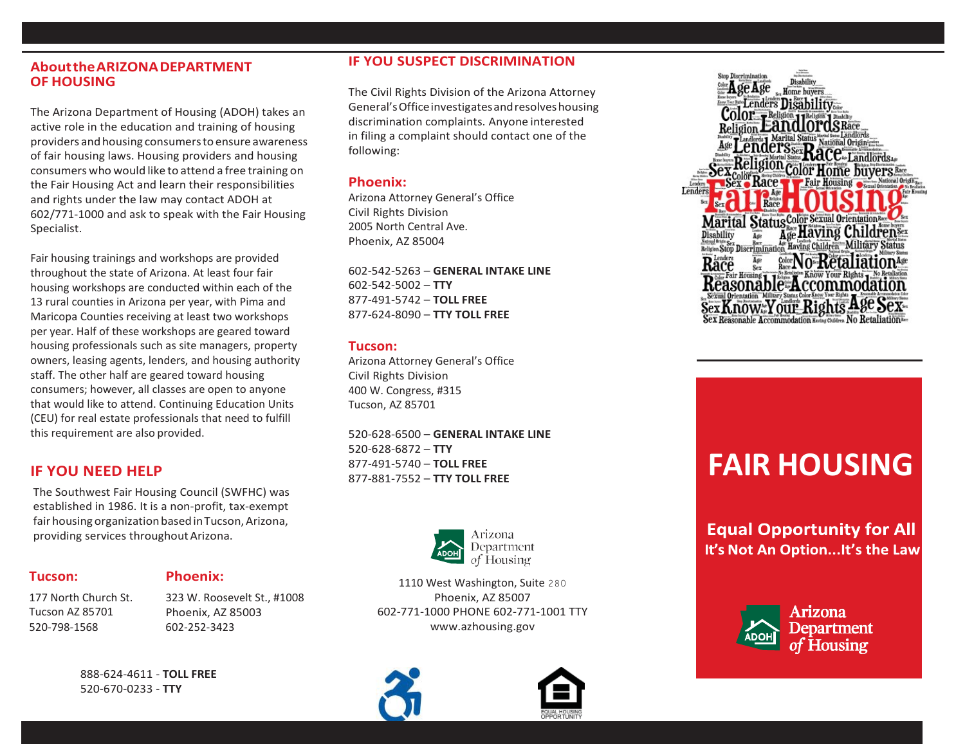## **AbouttheARIZONADEPARTMENT OF HOUSING**

The Arizona Department of Housing (ADOH) takes an active role in the education and training of housing providers andhousing consumerstoensure awareness of fair housing laws. Housing providers and housing consumers who would like to attend a free training on the Fair Housing Act and learn their responsibilities and rights under the law may contact ADOH at 602/771-1000 and ask to speak with the Fair Housing Specialist.

Fair housing trainings and workshops are provided throughout the state of Arizona. At least four fair housing workshops are conducted within each of the 13 rural counties in Arizona per year, with Pima and Maricopa Counties receiving at least two workshops per year. Half of these workshops are geared toward housing professionals such as site managers, property owners, leasing agents, lenders, and housing authority staff. The other half are geared toward housing consumers; however, all classes are open to anyone that would like to attend. Continuing Education Units (CEU) for real estate professionals that need to fulfill this requirement are also provided.

# **IF YOU NEED HELP**

The Southwest Fair Housing Council (SWFHC) was established in 1986. It is a non-profit, tax-exempt fair housing organization based in Tucson, Arizona, providing services throughoutArizona.

## **Tucson:**

**Phoenix:**

177 North Church St. Tucson AZ 85701 520-798-1568

323 W. Roosevelt St., #1008

Phoenix, AZ 85003 602-252-3423

888-624-4611 - **TOLL FREE** 520-670-0233 - **TTY**

# **IF YOU SUSPECT DISCRIMINATION**

The Civil Rights Division of the Arizona Attorney General'sOfficeinvestigatesandresolveshousing discrimination complaints. Anyone interested in filing a complaint should contact one of the following:

#### **Phoenix:**

Arizona Attorney General's Office Civil Rights Division 2005 North Central Ave. Phoenix, AZ 85004

602-542-5263 – **GENERAL INTAKE LINE** 602-542-5002 – **TTY** 877-491-5742 – **TOLL FREE** 877-624-8090 – **TTY TOLL FREE**

## **Tucson:**

Arizona Attorney General's Office Civil Rights Division 400 W. Congress, #315 Tucson, AZ 85701

520-628-6500 – **GENERAL INTAKE LINE** 520-628-6872 – **TTY** 877-491-5740 – **TOLL FREE** 877-881-7552 – **TTY TOLL FREE**



1110 West Washington, Suite 280 Phoenix, AZ 85007 602-771-1000 PHONE 602-771-1001 TTY [www.azhousing.gov](http://www.azhousing.gov/)







# **FAIR HOUSING**

**Equal Opportunity for All** It's Not An Option...It's the Law



Arizona **Department** of Housing